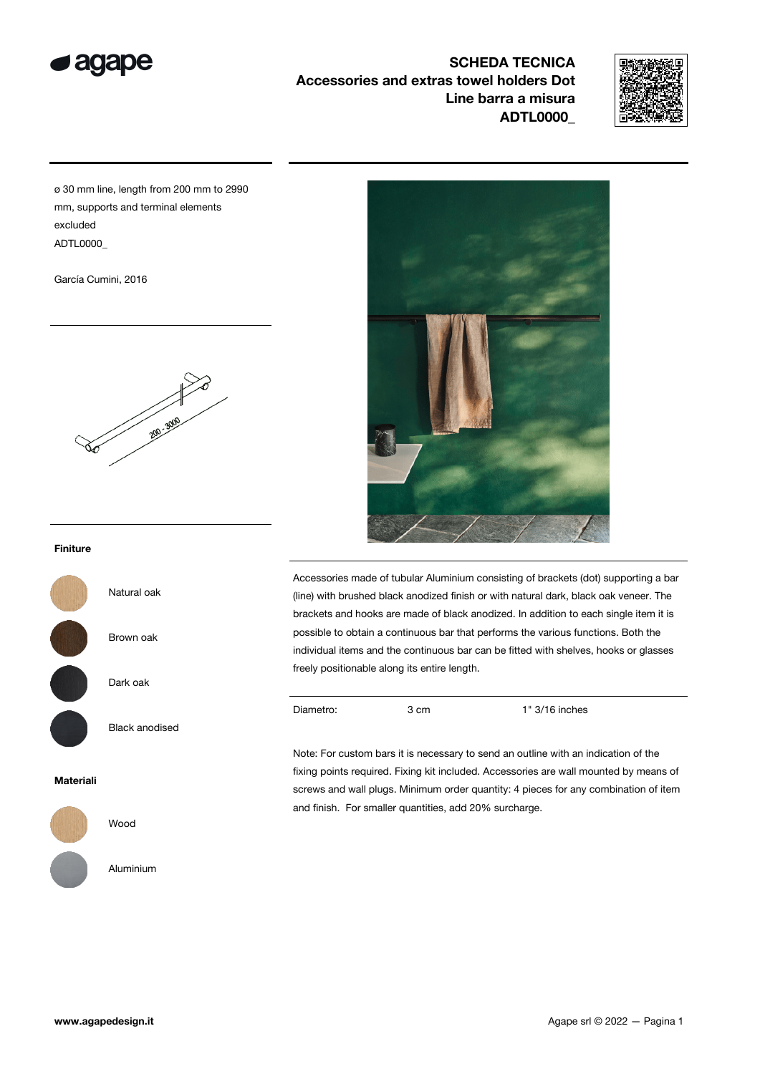

SCHEDA TECNICA Accessories and extras towel holders Dot Line barra a misura ADTL0000\_



ø 30 mm line, length from 200 mm to 2990 mm, supports and terminal elements excluded ADTL0000\_

García Cumini, 2016



# Finiture



Dark oak

Black anodised

Natural oak

Brown oak

## Materiali



Wood

Aluminium



Accessories made of tubular Aluminium consisting of brackets (dot) supporting a bar (line) with brushed black anodized finish or with natural dark, black oak veneer. The brackets and hooks are made of black anodized. In addition to each single item it is possible to obtain a continuous bar that performs the various functions. Both the individual items and the continuous bar can be fitted with shelves, hooks or glasses freely positionable along its entire length.

Diametro: 3 cm 1" 3/16 inches

Note: For custom bars it is necessary to send an outline with an indication of the fixing points required. Fixing kit included. Accessories are wall mounted by means of screws and wall plugs. Minimum order quantity: 4 pieces for any combination of item and finish. For smaller quantities, add 20% surcharge.